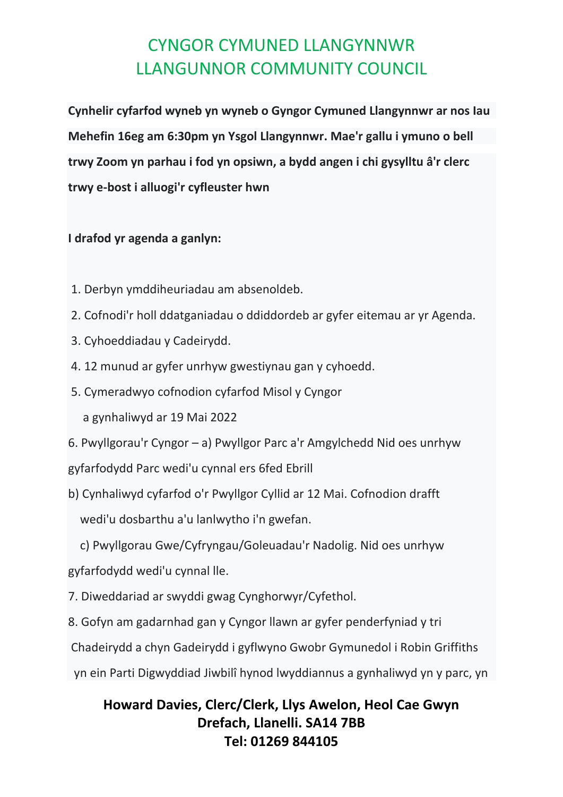**Cynhelir cyfarfod wyneb yn wyneb o Gyngor Cymuned Llangynnwr ar nos Iau Mehefin 16eg am 6:30pm yn Ysgol Llangynnwr. Mae'r gallu i ymuno o bell trwy Zoom yn parhau i fod yn opsiwn, a bydd angen i chi gysylltu â'r clerc trwy e-bost i alluogi'r cyfleuster hwn**

#### **I drafod yr agenda a ganlyn:**

- 1. Derbyn ymddiheuriadau am absenoldeb.
- 2. Cofnodi'r holl ddatganiadau o ddiddordeb ar gyfer eitemau ar yr Agenda.
- 3. Cyhoeddiadau y Cadeirydd.
- 4. 12 munud ar gyfer unrhyw gwestiynau gan y cyhoedd.
- 5. Cymeradwyo cofnodion cyfarfod Misol y Cyngor

a gynhaliwyd ar 19 Mai 2022

6. Pwyllgorau'r Cyngor – a) Pwyllgor Parc a'r Amgylchedd Nid oes unrhyw gyfarfodydd Parc wedi'u cynnal ers 6fed Ebrill

b) Cynhaliwyd cyfarfod o'r Pwyllgor Cyllid ar 12 Mai. Cofnodion drafft wedi'u dosbarthu a'u lanlwytho i'n gwefan.

c) Pwyllgorau Gwe/Cyfryngau/Goleuadau'r Nadolig. Nid oes unrhyw

gyfarfodydd wedi'u cynnal lle.

- 7. Diweddariad ar swyddi gwag Cynghorwyr/Cyfethol.
- 8. Gofyn am gadarnhad gan y Cyngor llawn ar gyfer penderfyniad y tri

Chadeirydd a chyn Gadeirydd i gyflwyno Gwobr Gymunedol i Robin Griffiths

yn ein Parti Digwyddiad Jiwbilî hynod lwyddiannus a gynhaliwyd yn y parc, yn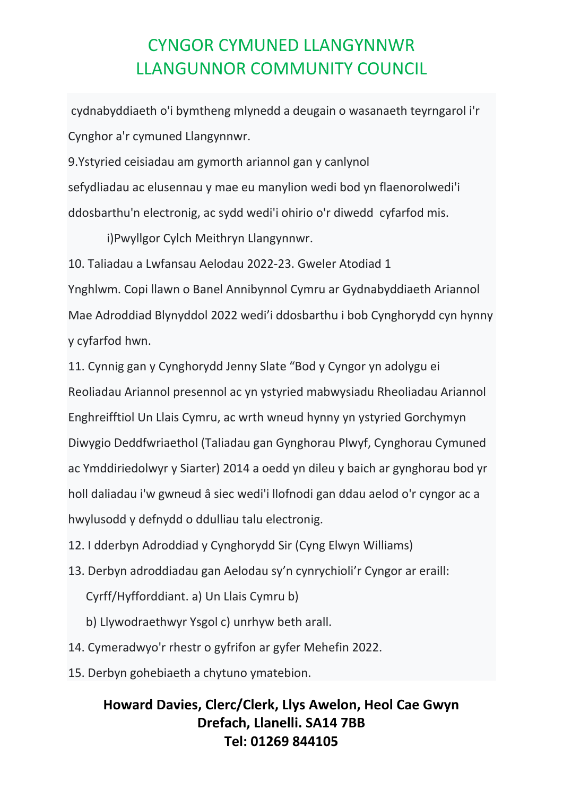cydnabyddiaeth o'i bymtheng mlynedd a deugain o wasanaeth teyrngarol i'r Cynghor a'r cymuned Llangynnwr.

9.Ystyried ceisiadau am gymorth ariannol gan y canlynol sefydliadau ac elusennau y mae eu manylion wedi bod yn flaenorolwedi'i ddosbarthu'n electronig, ac sydd wedi'i ohirio o'r diwedd cyfarfod mis.

i)Pwyllgor Cylch Meithryn Llangynnwr.

10. Taliadau a Lwfansau Aelodau 2022-23. Gweler Atodiad 1

Ynghlwm. Copi llawn o Banel Annibynnol Cymru ar Gydnabyddiaeth Ariannol Mae Adroddiad Blynyddol 2022 wedi'i ddosbarthu i bob Cynghorydd cyn hynny y cyfarfod hwn.

11. Cynnig gan y Cynghorydd Jenny Slate "Bod y Cyngor yn adolygu ei Reoliadau Ariannol presennol ac yn ystyried mabwysiadu Rheoliadau Ariannol Enghreifftiol Un Llais Cymru, ac wrth wneud hynny yn ystyried Gorchymyn Diwygio Deddfwriaethol (Taliadau gan Gynghorau Plwyf, Cynghorau Cymuned ac Ymddiriedolwyr y Siarter) 2014 a oedd yn dileu y baich ar gynghorau bod yr holl daliadau i'w gwneud â siec wedi'i llofnodi gan ddau aelod o'r cyngor ac a hwylusodd y defnydd o ddulliau talu electronig.

12. I dderbyn Adroddiad y Cynghorydd Sir (Cyng Elwyn Williams)

13. Derbyn adroddiadau gan Aelodau sy'n cynrychioli'r Cyngor ar eraill:

Cyrff/Hyfforddiant. a) Un Llais Cymru b)

b) Llywodraethwyr Ysgol c) unrhyw beth arall.

14. Cymeradwyo'r rhestr o gyfrifon ar gyfer Mehefin 2022.

15. Derbyn gohebiaeth a chytuno ymatebion.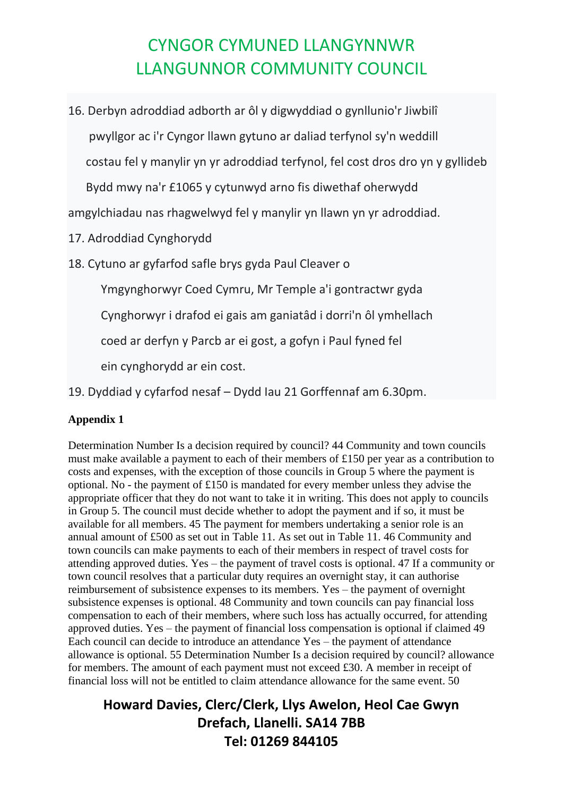16. Derbyn adroddiad adborth ar ôl y digwyddiad o gynllunio'r Jiwbilî pwyllgor ac i'r Cyngor llawn gytuno ar daliad terfynol sy'n weddill costau fel y manylir yn yr adroddiad terfynol, fel cost dros dro yn y gyllideb Bydd mwy na'r £1065 y cytunwyd arno fis diwethaf oherwydd

amgylchiadau nas rhagwelwyd fel y manylir yn llawn yn yr adroddiad.

17. Adroddiad Cynghorydd

18. Cytuno ar gyfarfod safle brys gyda Paul Cleaver o

Ymgynghorwyr Coed Cymru, Mr Temple a'i gontractwr gyda

Cynghorwyr i drafod ei gais am ganiatâd i dorri'n ôl ymhellach

coed ar derfyn y Parcb ar ei gost, a gofyn i Paul fyned fel

ein cynghorydd ar ein cost.

19. Dyddiad y cyfarfod nesaf – Dydd Iau 21 Gorffennaf am 6.30pm.

#### **Appendix 1**

Determination Number Is a decision required by council? 44 Community and town councils must make available a payment to each of their members of £150 per year as a contribution to costs and expenses, with the exception of those councils in Group 5 where the payment is optional. No - the payment of £150 is mandated for every member unless they advise the appropriate officer that they do not want to take it in writing. This does not apply to councils in Group 5. The council must decide whether to adopt the payment and if so, it must be available for all members. 45 The payment for members undertaking a senior role is an annual amount of £500 as set out in Table 11. As set out in Table 11. 46 Community and town councils can make payments to each of their members in respect of travel costs for attending approved duties. Yes – the payment of travel costs is optional. 47 If a community or town council resolves that a particular duty requires an overnight stay, it can authorise reimbursement of subsistence expenses to its members. Yes – the payment of overnight subsistence expenses is optional. 48 Community and town councils can pay financial loss compensation to each of their members, where such loss has actually occurred, for attending approved duties. Yes – the payment of financial loss compensation is optional if claimed 49 Each council can decide to introduce an attendance Yes – the payment of attendance allowance is optional. 55 Determination Number Is a decision required by council? allowance for members. The amount of each payment must not exceed £30. A member in receipt of financial loss will not be entitled to claim attendance allowance for the same event. 50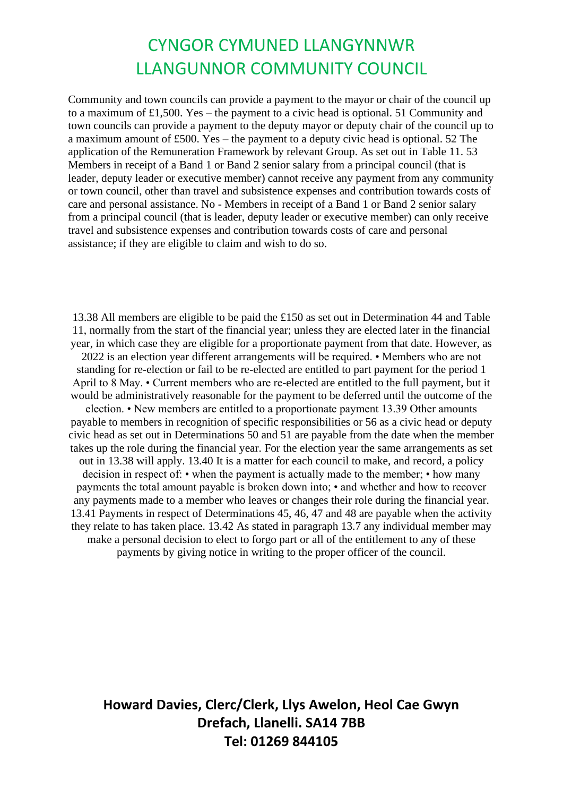Community and town councils can provide a payment to the mayor or chair of the council up to a maximum of £1,500. Yes – the payment to a civic head is optional. 51 Community and town councils can provide a payment to the deputy mayor or deputy chair of the council up to a maximum amount of £500. Yes – the payment to a deputy civic head is optional. 52 The application of the Remuneration Framework by relevant Group. As set out in Table 11. 53 Members in receipt of a Band 1 or Band 2 senior salary from a principal council (that is leader, deputy leader or executive member) cannot receive any payment from any community or town council, other than travel and subsistence expenses and contribution towards costs of care and personal assistance. No - Members in receipt of a Band 1 or Band 2 senior salary from a principal council (that is leader, deputy leader or executive member) can only receive travel and subsistence expenses and contribution towards costs of care and personal assistance; if they are eligible to claim and wish to do so.

13.38 All members are eligible to be paid the £150 as set out in Determination 44 and Table 11, normally from the start of the financial year; unless they are elected later in the financial year, in which case they are eligible for a proportionate payment from that date. However, as 2022 is an election year different arrangements will be required. • Members who are not standing for re-election or fail to be re-elected are entitled to part payment for the period 1 April to 8 May. • Current members who are re-elected are entitled to the full payment, but it would be administratively reasonable for the payment to be deferred until the outcome of the election. • New members are entitled to a proportionate payment 13.39 Other amounts payable to members in recognition of specific responsibilities or 56 as a civic head or deputy civic head as set out in Determinations 50 and 51 are payable from the date when the member takes up the role during the financial year. For the election year the same arrangements as set out in 13.38 will apply. 13.40 It is a matter for each council to make, and record, a policy decision in respect of: • when the payment is actually made to the member; • how many payments the total amount payable is broken down into; • and whether and how to recover any payments made to a member who leaves or changes their role during the financial year. 13.41 Payments in respect of Determinations 45, 46, 47 and 48 are payable when the activity they relate to has taken place. 13.42 As stated in paragraph 13.7 any individual member may make a personal decision to elect to forgo part or all of the entitlement to any of these payments by giving notice in writing to the proper officer of the council.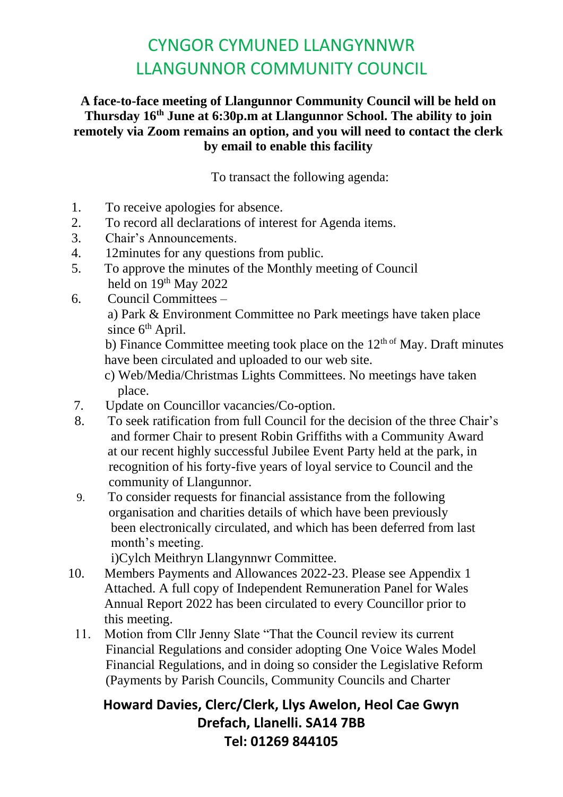#### **A face-to-face meeting of Llangunnor Community Council will be held on Thursday 16th June at 6:30p.m at Llangunnor School. The ability to join remotely via Zoom remains an option, and you will need to contact the clerk by email to enable this facility**

To transact the following agenda:

- 1. To receive apologies for absence.
- 2. To record all declarations of interest for Agenda items.
- 3. Chair's Announcements.
- 4. 12minutes for any questions from public.
- 5. To approve the minutes of the Monthly meeting of Council held on  $19<sup>th</sup>$  May 2022
- 6. Council Committees –

 a) Park & Environment Committee no Park meetings have taken place since  $6<sup>th</sup>$  April.

b) Finance Committee meeting took place on the  $12<sup>th of</sup>$  May. Draft minutes have been circulated and uploaded to our web site.

- c) Web/Media/Christmas Lights Committees. No meetings have taken place.
- 7. Update on Councillor vacancies/Co-option.
- 8. To seek ratification from full Council for the decision of the three Chair's and former Chair to present Robin Griffiths with a Community Award at our recent highly successful Jubilee Event Party held at the park, in recognition of his forty-five years of loyal service to Council and the community of Llangunnor.
- 9. To consider requests for financial assistance from the following organisation and charities details of which have been previously been electronically circulated, and which has been deferred from last month's meeting.

i)Cylch Meithryn Llangynnwr Committee.

- 10. Members Payments and Allowances 2022-23. Please see Appendix 1 Attached. A full copy of Independent Remuneration Panel for Wales Annual Report 2022 has been circulated to every Councillor prior to this meeting.
	- 11. Motion from Cllr Jenny Slate "That the Council review its current Financial Regulations and consider adopting One Voice Wales Model Financial Regulations, and in doing so consider the Legislative Reform (Payments by Parish Councils, Community Councils and Charter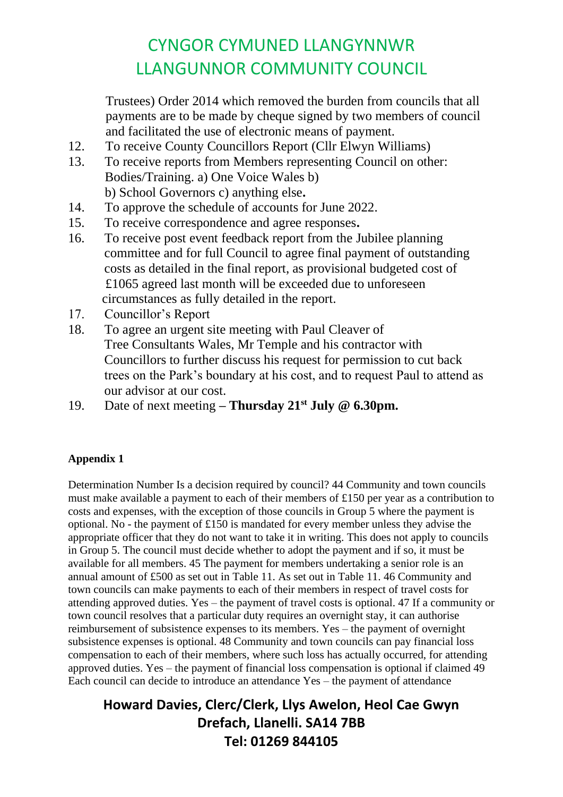Trustees) Order 2014 which removed the burden from councils that all payments are to be made by cheque signed by two members of council and facilitated the use of electronic means of payment.

- 12. To receive County Councillors Report (Cllr Elwyn Williams)
- 13. To receive reports from Members representing Council on other: Bodies/Training. a) One Voice Wales b) b) School Governors c) anything else**.**
- 14. To approve the schedule of accounts for June 2022.
- 15. To receive correspondence and agree responses**.**
- 16. To receive post event feedback report from the Jubilee planning committee and for full Council to agree final payment of outstanding costs as detailed in the final report, as provisional budgeted cost of £1065 agreed last month will be exceeded due to unforeseen circumstances as fully detailed in the report.
- 17. Councillor's Report
- 18. To agree an urgent site meeting with Paul Cleaver of Tree Consultants Wales, Mr Temple and his contractor with Councillors to further discuss his request for permission to cut back trees on the Park's boundary at his cost, and to request Paul to attend as our advisor at our cost.
- 19. Date of next meeting **– Thursday 21st July @ 6.30pm.**

#### **Appendix 1**

Determination Number Is a decision required by council? 44 Community and town councils must make available a payment to each of their members of £150 per year as a contribution to costs and expenses, with the exception of those councils in Group 5 where the payment is optional. No - the payment of £150 is mandated for every member unless they advise the appropriate officer that they do not want to take it in writing. This does not apply to councils in Group 5. The council must decide whether to adopt the payment and if so, it must be available for all members. 45 The payment for members undertaking a senior role is an annual amount of £500 as set out in Table 11. As set out in Table 11. 46 Community and town councils can make payments to each of their members in respect of travel costs for attending approved duties. Yes – the payment of travel costs is optional. 47 If a community or town council resolves that a particular duty requires an overnight stay, it can authorise reimbursement of subsistence expenses to its members. Yes – the payment of overnight subsistence expenses is optional. 48 Community and town councils can pay financial loss compensation to each of their members, where such loss has actually occurred, for attending approved duties. Yes – the payment of financial loss compensation is optional if claimed 49 Each council can decide to introduce an attendance Yes – the payment of attendance